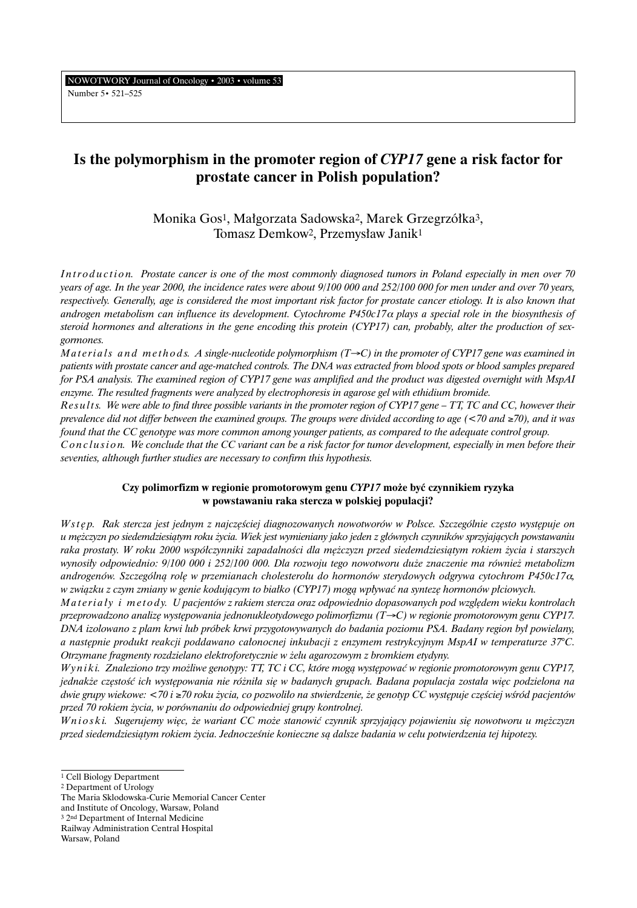NOWOTWORY Journal of Oncology • 2003 • volume 53 Number 5• 521–525

# **Is the polymorphism in the promoter region of** *CYP17* **gene a risk factor for prostate cancer in Polish population?**

Monika Gos<sup>1</sup>, Małgorzata Sadowska<sup>2</sup>, Marek Grzegrzółka<sup>3</sup>, Tomasz Demkow<sup>2</sup>, Przemysław Janik<sup>1</sup>

*Introduction. Prostate cancer is one of the most commonly diagnosed tumors in Poland especially in men over 70 years of age. In the year 2000, the incidence rates were about 9/100 000 and 252/100 000 for men under and over 70 years, respectively. Generally, age is considered the most important risk factor for prostate cancer etiology. It is also known that androgen metabolism can influence its development. Cytochrome P450c17*<sup>α</sup> *plays a special role in the biosynthesis of steroid hormones and alterations in the gene encoding this protein (CYP17) can, probably, alter the production of sexgormones.*

*Materials and methods. A single-nucleotide polymorphism (T→C) in the promoter of CYP17 gene was examined in patients with prostate cancer and age-matched controls. The DNA was extracted from blood spots or blood samples prepared for PSA analysis. The examined region of CYP17 gene was amplified and the product was digested overnight with MspAI enzyme. The resulted fragments were analyzed by electrophoresis in agarose gel with ethidium bromide.*

*Re s u l t s. We were able to find three possible variants in the promoter region of CYP17 gene – TT, TC and CC, however their prevalence did not differ between the examined groups. The groups were divided according to age (<70 and* ≥*70), and it was found that the CC genotype was more common among younger patients, as compared to the adequate control group.*

*Conclusion.* We conclude that the CC variant can be a risk factor for tumor development, especially in men before their *seventies, although further studies are necessary to confirm this hypothesis.*

# **Czy polimorfizm w regionie promotorowym genu** *CYP17* **mo˝e byç czynnikiem ryzyka w powstawaniu raka stercza w polskiej populacji?**

*W s t ´ p. Rak stercza jest jednym z najcz´Êciej diagnozowanych nowotworów w Polsce. Szczególnie cz´sto wyst´puje on u m´˝czyzn po siedemdziesiàtym roku ˝ycia. Wiek jest wymieniany jako jeden z g∏ównych czynników sprzyjajàcych powstawaniu raka prostaty. W roku 2000 wspó∏czynniki zapadalnoÊci dla m´˝czyzn przed siedemdziesiàtym rokiem ˝ycia i starszych wynosi∏y odpowiednio: 9/100 000 i 252/100 000. Dla rozwoju tego nowotworu du˝e znaczenie ma równie˝ metabolizm androgenów. Szczególnà rol´ w przemianach cholesterolu do hormonów sterydowych odgrywa cytochrom P450c17*α*, w zwiàzku z czym zmiany w genie kodujàcym to bia∏ko (CYP17) mogà wp∏ywaç na syntez´ hormonów p∏ciowych.*

*Materialy i metody. U pacjentów z rakiem stercza oraz odpowiednio dopasowanych pod względem wieku kontrolach przeprowadzono analizę występowania jednonukleotydowego polimorfizmu (T→C) w regionie promotorowym genu CYP17. DNA izolowano z plam krwi lub próbek krwi przygotowywanych do badania poziomu PSA. Badany region by∏ powielany, a nast´pnie produkt reakcji poddawano ca∏onocnej inkubacji z enzymem restrykcyjnym MspAI w temperaturze 37°C. Otrzymane fragmenty rozdzielano elektroforetycznie w ˝elu agarozowym z bromkiem etydyny.*

*Wyniki. Znaleziono trzy możliwe genotypy: TT, TC i CC, które mogą występować w regionie promotorowym genu CYP17, jednakże częstość ich występowania nie różniła się w badanych grupach. Badana populacja została więc podzielona na dwie grupy wiekowe: <70 i ≥70 roku życia, co pozwoliło na stwierdzenie, że genotyp CC występuje częściej wśród pacjentów przed 70 rokiem ˝ycia, w porównaniu do odpowiedniej grupy kontrolnej.*

*Wnioski. Sugerujemy więc, że wariant CC może stanowić czynnik sprzyjający pojawieniu się nowotworu u mężczyzn przed siedemdziesiàtym rokiem ˝ycia. JednoczeÊnie konieczne sà dalsze badania w celu potwierdzenia tej hipotezy.*

<sup>&</sup>lt;sup>1</sup> Cell Biology Department

<sup>2</sup> Department of Urology

The Maria Sklodowska-Curie Memorial Cancer Center

and Institute of Oncology, Warsaw, Poland

<sup>&</sup>lt;sup>3</sup> 2<sup>nd</sup> Department of Internal Medicine

Railway Administration Central Hospital

Warsaw, Poland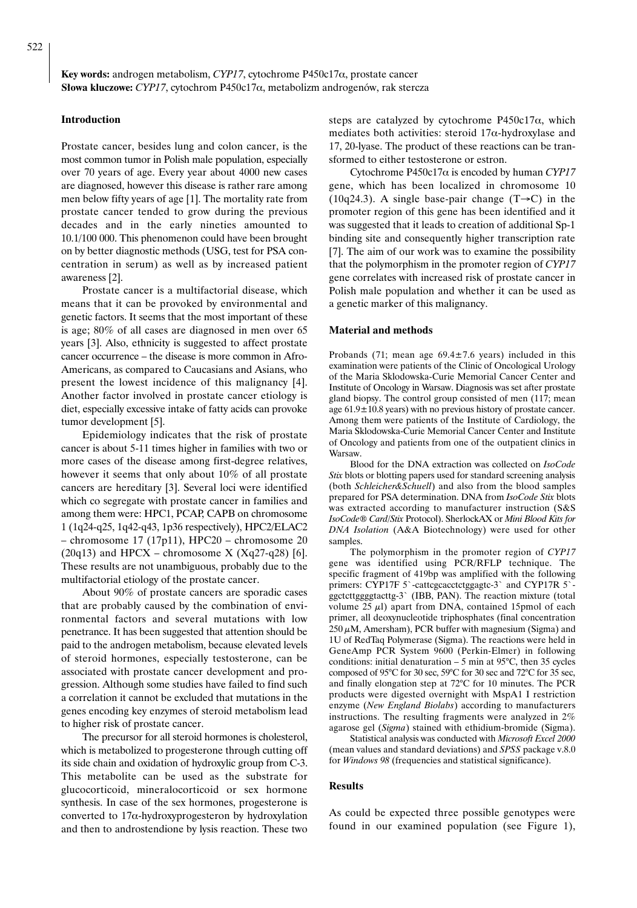**Key words:** androgen metabolism, *CYP17*, cytochrome P450c17α, prostate cancer **S∏owa kluczowe:** *CYP17*, cytochrom P450c17α, metabolizm androgenów, rak stercza

#### **Introduction**

Prostate cancer, besides lung and colon cancer, is the most common tumor in Polish male population, especially over 70 years of age. Every year about 4000 new cases are diagnosed, however this disease is rather rare among men below fifty years of age [1]. The mortality rate from prostate cancer tended to grow during the previous decades and in the early nineties amounted to 10.1/100 000. This phenomenon could have been brought on by better diagnostic methods (USG, test for PSA concentration in serum) as well as by increased patient awareness [2].

Prostate cancer is a multifactorial disease, which means that it can be provoked by environmental and genetic factors. It seems that the most important of these is age; 80% of all cases are diagnosed in men over 65 years [3]. Also, ethnicity is suggested to affect prostate cancer occurrence – the disease is more common in Afro-Americans, as compared to Caucasians and Asians, who present the lowest incidence of this malignancy [4]. Another factor involved in prostate cancer etiology is diet, especially excessive intake of fatty acids can provoke tumor development [5].

Epidemiology indicates that the risk of prostate cancer is about 5-11 times higher in families with two or more cases of the disease among first-degree relatives, however it seems that only about 10% of all prostate cancers are hereditary [3]. Several loci were identified which co segregate with prostate cancer in families and among them were: HPC1, PCAP, CAPB on chromosome 1 (1q24-q25, 1q42-q43, 1p36 respectively), HPC2/ELAC2 – chromosome 17 (17p11), HPC20 – chromosome 20  $(20q13)$  and HPCX – chromosome X  $(Xq27-q28)$  [6]. These results are not unambiguous, probably due to the multifactorial etiology of the prostate cancer.

About 90% of prostate cancers are sporadic cases that are probably caused by the combination of environmental factors and several mutations with low penetrance. It has been suggested that attention should be paid to the androgen metabolism, because elevated levels of steroid hormones, especially testosterone, can be associated with prostate cancer development and progression. Although some studies have failed to find such a correlation it cannot be excluded that mutations in the genes encoding key enzymes of steroid metabolism lead to higher risk of prostate cancer.

The precursor for all steroid hormones is cholesterol, which is metabolized to progesterone through cutting off its side chain and oxidation of hydroxylic group from C-3. This metabolite can be used as the substrate for glucocorticoid, mineralocorticoid or sex hormone synthesis. In case of the sex hormones, progesterone is converted to 17α-hydroxyprogesteron by hydroxylation and then to androstendione by lysis reaction. These two

steps are catalyzed by cytochrome  $P450c17\alpha$ , which mediates both activities: steroid  $17\alpha$ -hydroxylase and 17, 20-lyase. The product of these reactions can be transformed to either testosterone or estron.

Cytochrome P450c17α is encoded by human *CYP17* gene, which has been localized in chromosome 10 (10q24.3). A single base-pair change (T $\rightarrow$ C) in the promoter region of this gene has been identified and it was suggested that it leads to creation of additional Sp-1 binding site and consequently higher transcription rate [7]. The aim of our work was to examine the possibility that the polymorphism in the promoter region of *CYP17* gene correlates with increased risk of prostate cancer in Polish male population and whether it can be used as a genetic marker of this malignancy.

#### **Material and methods**

Probands (71; mean age  $69.4 \pm 7.6$  years) included in this examination were patients of the Clinic of Oncological Urology of the Maria Sklodowska-Curie Memorial Cancer Center and Institute of Oncology in Warsaw. Diagnosis was set after prostate gland biopsy. The control group consisted of men (117; mean age 61.9±10.8 years) with no previous history of prostate cancer. Among them were patients of the Institute of Cardiology, the Maria Sklodowska-Curie Memorial Cancer Center and Institute of Oncology and patients from one of the outpatient clinics in Warsaw.

Blood for the DNA extraction was collected on *IsoCode Stix* blots or blotting papers used for standard screening analysis (both *Schleicher&Schuell*) and also from the blood samples prepared for PSA determination. DNA from *IsoCode Stix* blots was extracted according to manufacturer instruction (S&S *IsoCode® Card/Stix* Protocol). SherlockAX or *Mini Blood Kits for DNA Isolation* (A&A Biotechnology) were used for other samples.

The polymorphism in the promoter region of *CYP17* gene was identified using PCR/RFLP technique. The specific fragment of 419bp was amplified with the following primers: CYP17F 5`-cattcgcacctctggagtc-3` and CYP17R 5`ggctcttggggtacttg-3` (IBB, PAN). The reaction mixture (total volume  $25 \mu l$ ) apart from DNA, contained 15pmol of each primer, all deoxynucleotide triphosphates (final concentration  $250 \mu$ M, Amersham), PCR buffer with magnesium (Sigma) and 1U of RedTaq Polymerase (Sigma). The reactions were held in GeneAmp PCR System 9600 (Perkin-Elmer) in following conditions: initial denaturation  $-5$  min at 95 $\degree$ C, then 35 cycles composed of 95°C for 30 sec, 59°C for 30 sec and 72°C for 35 sec, and finally elongation step at 72°C for 10 minutes. The PCR products were digested overnight with MspA1 I restriction enzyme (*New England Biolabs*) according to manufacturers instructions. The resulting fragments were analyzed in 2% agarose gel (*Sigma*) stained with ethidium-bromide (Sigma).

Statistical analysis was conducted with *Microsoft Excel 2000* (mean values and standard deviations) and *SPSS* package v.8.0 for *Windows 98* (frequencies and statistical significance).

#### **Results**

As could be expected three possible genotypes were found in our examined population (see Figure 1),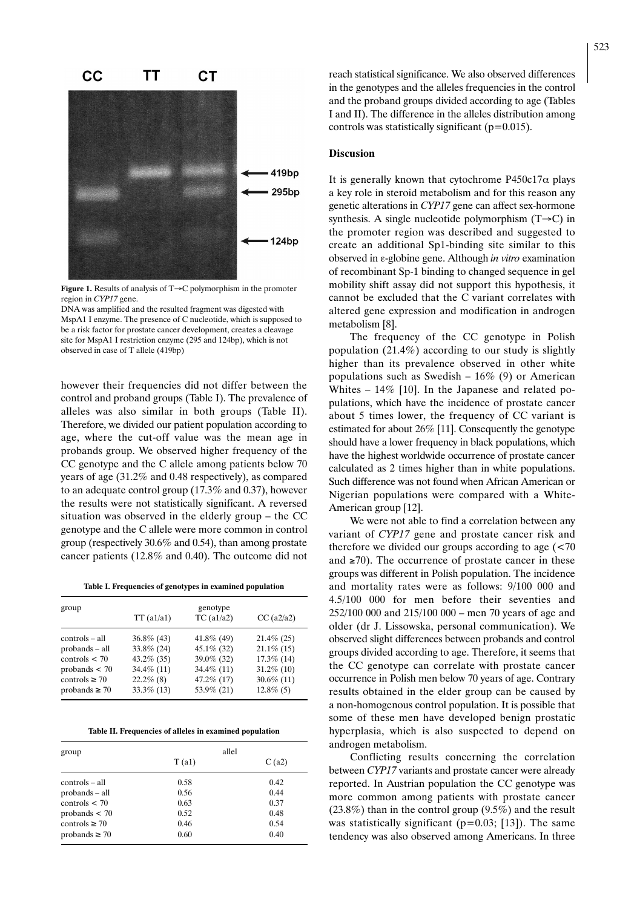

**Figure 1.** Results of analysis of T→C polymorphism in the promoter region in *CYP17* gene.

DNA was amplified and the resulted fragment was digested with MspA1 I enzyme. The presence of C nucleotide, which is supposed to be a risk factor for prostate cancer development, creates a cleavage site for MspA1 I restriction enzyme (295 and 124bp), which is not observed in case of T allele (419bp)

however their frequencies did not differ between the control and proband groups (Table I). The prevalence of alleles was also similar in both groups (Table II). Therefore, we divided our patient population according to age, where the cut-off value was the mean age in probands group. We observed higher frequency of the CC genotype and the C allele among patients below 70 years of age (31.2% and 0.48 respectively), as compared to an adequate control group (17.3% and 0.37), however the results were not statistically significant. A reversed situation was observed in the elderly group – the CC genotype and the C allele were more common in control group (respectively 30.6% and 0.54), than among prostate cancer patients (12.8% and 0.40). The outcome did not

**Table I. Frequencies of genotypes in examined population**

| group              | genotype        |               |               |
|--------------------|-----------------|---------------|---------------|
|                    | $TT($ a $1/a1)$ | TC(1/a2)      | $CC$ (a2/a2)  |
| controls – all     | $36.8\%$ (43)   | $41.8\%$ (49) | $21.4\%$ (25) |
| probands – all     | $33.8\%$ (24)   | $45.1\%$ (32) | $21.1\%$ (15) |
| controls $<$ 70    | $43.2\%$ (35)   | 39.0% (32)    | $17.3\%$ (14) |
| probands $<$ 70    | 34.4% (11)      | $34.4\%$ (11) | $31.2\%$ (10) |
| controls $\geq 70$ | $22.2\%$ (8)    | 47.2% (17)    | $30.6\%$ (11) |
| probands $\geq 70$ | $33.3\%$ (13)   | 53.9% (21)    | $12.8\%$ (5)  |

**Table II. Frequencies of alleles in examined population**

| group              | allel |       |  |
|--------------------|-------|-------|--|
|                    | T(a1) | C(a2) |  |
| controls – all     | 0.58  | 0.42  |  |
| probands – all     | 0.56  | 0.44  |  |
| controls $<$ 70    | 0.63  | 0.37  |  |
| probands $<$ 70    | 0.52  | 0.48  |  |
| controls $\geq 70$ | 0.46  | 0.54  |  |
| probands $\geq$ 70 | 0.60  | 0.40  |  |

reach statistical significance. We also observed differences in the genotypes and the alleles frequencies in the control and the proband groups divided according to age (Tables I and II). The difference in the alleles distribution among controls was statistically significant  $(p=0.015)$ .

## **Discusion**

It is generally known that cytochrome  $P450c17\alpha$  plays a key role in steroid metabolism and for this reason any genetic alterations in *CYP17* gene can affect sex-hormone synthesis. A single nucleotide polymorphism (T→C) in the promoter region was described and suggested to create an additional Sp1-binding site similar to this observed in ε-globine gene. Although *in vitro* examination of recombinant Sp-1 binding to changed sequence in gel mobility shift assay did not support this hypothesis, it cannot be excluded that the C variant correlates with altered gene expression and modification in androgen metabolism [8].

The frequency of the CC genotype in Polish population (21.4%) according to our study is slightly higher than its prevalence observed in other white populations such as Swedish –  $16\%$  (9) or American Whites – 14% [10]. In the Japanese and related populations, which have the incidence of prostate cancer about 5 times lower, the frequency of CC variant is estimated for about 26% [11]. Consequently the genotype should have a lower frequency in black populations, which have the highest worldwide occurrence of prostate cancer calculated as 2 times higher than in white populations. Such difference was not found when African American or Nigerian populations were compared with a White-American group [12].

We were not able to find a correlation between any variant of *CYP17* gene and prostate cancer risk and therefore we divided our groups according to age  $\approx 70$ and  $\geq 70$ ). The occurrence of prostate cancer in these groups was different in Polish population. The incidence and mortality rates were as follows: 9/100 000 and 4.5/100 000 for men before their seventies and 252/100 000 and 215/100 000 – men 70 years of age and older (dr J. Lissowska, personal communication). We observed slight differences between probands and control groups divided according to age. Therefore, it seems that the CC genotype can correlate with prostate cancer occurrence in Polish men below 70 years of age. Contrary results obtained in the elder group can be caused by a non-homogenous control population. It is possible that some of these men have developed benign prostatic hyperplasia, which is also suspected to depend on androgen metabolism.

Conflicting results concerning the correlation between *CYP17* variants and prostate cancer were already reported. In Austrian population the CC genotype was more common among patients with prostate cancer (23.8%) than in the control group (9.5%) and the result was statistically significant ( $p=0.03$ ; [13]). The same tendency was also observed among Americans. In three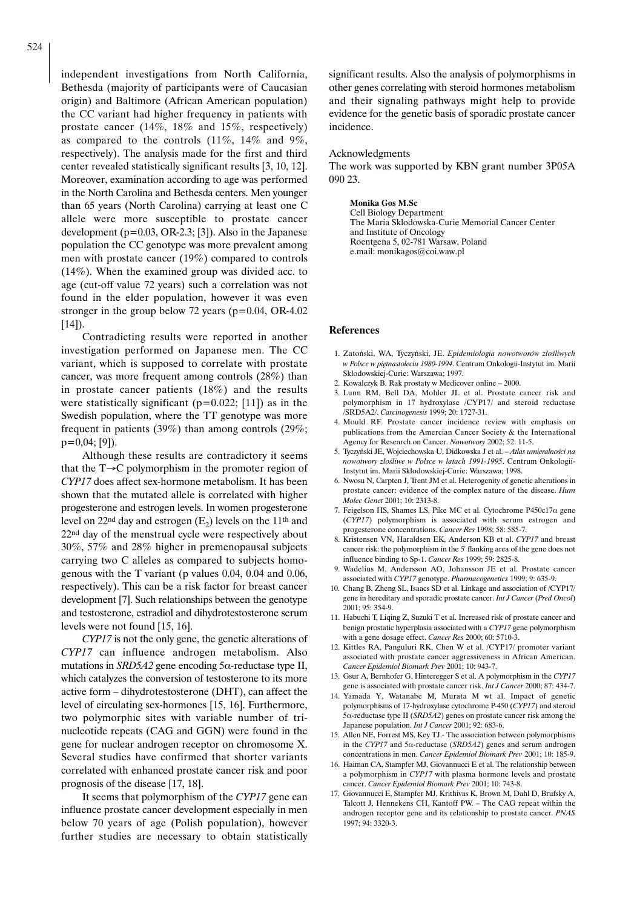independent investigations from North California, Bethesda (majority of participants were of Caucasian origin) and Baltimore (African American population) the CC variant had higher frequency in patients with prostate cancer (14%, 18% and 15%, respectively) as compared to the controls (11%, 14% and 9%, respectively). The analysis made for the first and third center revealed statistically significant results [3, 10, 12]. Moreover, examination according to age was performed in the North Carolina and Bethesda centers. Men younger than 65 years (North Carolina) carrying at least one C allele were more susceptible to prostate cancer development  $(p=0.03, OR-2.3; [3])$ . Also in the Japanese population the CC genotype was more prevalent among men with prostate cancer (19%) compared to controls (14%). When the examined group was divided acc. to age (cut-off value 72 years) such a correlation was not found in the elder population, however it was even stronger in the group below 72 years ( $p=0.04$ , OR-4.02  $[14]$ ).

Contradicting results were reported in another investigation performed on Japanese men. The CC variant, which is supposed to correlate with prostate cancer, was more frequent among controls (28%) than in prostate cancer patients (18%) and the results were statistically significant ( $p=0.022$ ; [11]) as in the Swedish population, where the TT genotype was more frequent in patients (39%) than among controls (29%; p=0,04; [9]).

Although these results are contradictory it seems that the T→C polymorphism in the promoter region of *CYP17* does affect sex-hormone metabolism. It has been shown that the mutated allele is correlated with higher progesterone and estrogen levels. In women progesterone level on 22<sup>nd</sup> day and estrogen  $(E_2)$  levels on the 11<sup>th</sup> and 22nd day of the menstrual cycle were respectively about 30%, 57% and 28% higher in premenopausal subjects carrying two C alleles as compared to subjects homogenous with the T variant (p values 0.04, 0.04 and 0.06, respectively). This can be a risk factor for breast cancer development [7]. Such relationships between the genotype and testosterone, estradiol and dihydrotestosterone serum levels were not found [15, 16].

*CYP17* is not the only gene, the genetic alterations of *CYP17* can influence androgen metabolism. Also mutations in *SRD5A2* gene encoding 5α-reductase type II, which catalyzes the conversion of testosterone to its more active form – dihydrotestosterone (DHT), can affect the level of circulating sex-hormones [15, 16]. Furthermore, two polymorphic sites with variable number of trinucleotide repeats (CAG and GGN) were found in the gene for nuclear androgen receptor on chromosome X. Several studies have confirmed that shorter variants correlated with enhanced prostate cancer risk and poor prognosis of the disease [17, 18].

It seems that polymorphism of the *CYP17* gene can influence prostate cancer development especially in men below 70 years of age (Polish population), however further studies are necessary to obtain statistically significant results. Also the analysis of polymorphisms in other genes correlating with steroid hormones metabolism and their signaling pathways might help to provide evidence for the genetic basis of sporadic prostate cancer incidence.

### Acknowledgments

The work was supported by KBN grant number 3P05A 090 23.

**Monika Gos M.Sc** Cell Biology Department The Maria Sklodowska-Curie Memorial Cancer Center and Institute of Oncology Roentgena 5, 02-781 Warsaw, Poland e.mail: monikagos@coi.waw.pl

#### **References**

- 1. Zatoƒski, WA, Tyczyƒski, JE. *Epidemiologia nowotworów z∏oÊliwych w Polsce w piętnastoleciu 1980-1994*. Centrum Onkologii-Instytut im. Marii Sk∏odowskiej-Curie: Warszawa; 1997.
- 2. Kowalczyk B. Rak prostaty w Medicover online 2000.
- 3. Lunn RM, Bell DA, Mohler JL et al. Prostate cancer risk and polymorphism in 17 hydroxylase /CYP17/ and steroid reductase /SRD5A2/. *Carcinogenesis* 1999; 20: 1727-31.
- 4. Mould RF. Prostate cancer incidence review with emphasis on publications from the Amercian Cancer Society & the International Agency for Research on Cancer. *Nowotwory* 2002; 52: 11-5.
- 5. Tyczyński JE, Wojciechowska U, Didkowska J et al. Atlas umieralności na *nowotwory z∏oÊliwe w Polsce w latach 1991-1995*. Centrum Onkologii-Instytut im. Marii Sk∏odowskiej-Curie: Warszawa; 1998.
- 6. Nwosu N, Carpten J, Trent JM et al. Heterogenity of genetic alterations in prostate cancer: evidence of the complex nature of the disease. *Hum Molec Genet* 2001; 10: 2313-8.
- 7. Feigelson HS, Shames LS, Pike MC et al. Cytochrome P450c17α gene (*CYP17*) polymorphism is associated with serum estrogen and progesterone concentrations. *Cancer Res* 1998; 58: 585-7.
- 8. Kristensen VN, Haraldsen EK, Anderson KB et al. *CYP17* and breast cancer risk: the polymorphism in the 5' flanking area of the gene does not influence binding to Sp-1. *Cancer Res* 1999; 59: 2825-8.
- 9. Wadelius M, Andersson AO, Johansson JE et al. Prostate cancer associated with *CYP17* genotype. *Pharmacogenetics* 1999; 9: 635-9.
- 10. Chang B, Zheng SL, Isaacs SD et al. Linkage and association of /CYP17/ gene in hereditary and sporadic prostate cancer. *Int J Cancer* (*Pred Oncol*) 2001; 95: 354-9.
- 11. Habuchi T, Liqing Z, Suzuki T et al. Increased risk of prostate cancer and benign prostatic hyperplasia associated with a *CYP17* gene polymorphism with a gene dosage effect. *Cancer Res* 2000; 60: 5710-3.
- 12. Kittles RA, Panguluri RK, Chen W et al. /CYP17/ promoter variant associated with prostate cancer aggressiveness in African American. *Cancer Epidemiol Biomark Prev* 2001; 10: 943-7.
- 13. Gsur A, Bernhofer G, Hinteregger S et al. A polymorphism in the *CYP17* gene is associated with prostate cancer risk. *Int J Cancer* 2000; 87: 434-7.
- 14. Yamada Y, Watanabe M, Murata M wt al. Impact of genetic polymorphisms of 17-hydroxylase cytochrome P-450 (*CYP17*) and steroid 5α-reductase type II (*SRD5A2*) genes on prostate cancer risk among the Japanese population. *Int J Cancer* 2001; 92: 683-6.
- 15. Allen NE, Forrest MS, Key TJ.- The association between polymorphisms in the *CYP17* and 5α-reductase (*SRD5A2*) genes and serum androgen concentrations in men. *Cancer Epidemiol Biomark Prev* 2001; 10: 185-9.
- 16. Haiman CA, Stampfer MJ, Giovannucci E et al. The relationship between a polymorphism in *CYP17* with plasma hormone levels and prostate cancer. *Cancer Epidemiol Biomark Prev* 2001; 10: 743-8.
- 17. Giovannucci E, Stampfer MJ, Krithivas K, Brown M, Dahl D, Brufsky A, Talcott J, Hennekens CH, Kantoff PW. – The CAG repeat within the androgen receptor gene and its relationship to prostate cancer. *PNAS* 1997; 94: 3320-3.